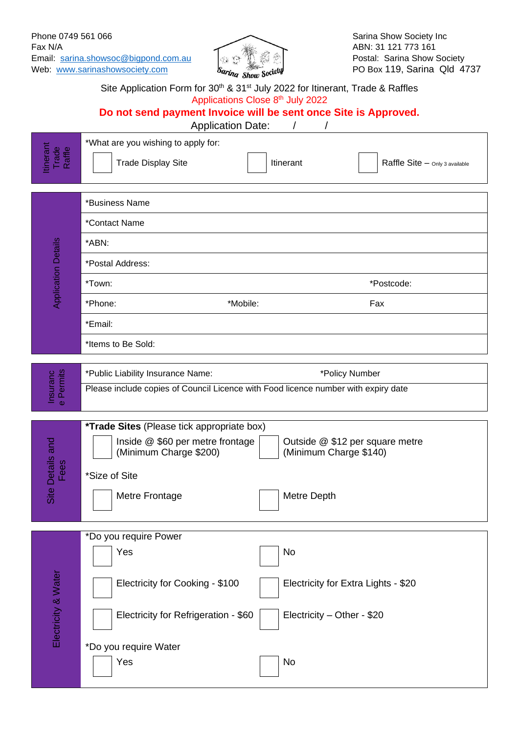

|                                    | Site Application Form for 30 <sup>th</sup> & 31 <sup>st</sup> July 2022 for Itinerant, Trade & Raffles<br>Applications Close 8th July 2022<br>Do not send payment Invoice will be sent once Site is Approved.                  |
|------------------------------------|--------------------------------------------------------------------------------------------------------------------------------------------------------------------------------------------------------------------------------|
| tinerant<br>Trade<br>Raffle        | <b>Application Date:</b><br>*What are you wishing to apply for:<br><b>Trade Display Site</b><br>Raffle Site - Only 3 available<br>Itinerant                                                                                    |
| <b>Application Details</b>         | *Business Name<br>*Contact Name                                                                                                                                                                                                |
|                                    | *ABN:<br>*Postal Address:                                                                                                                                                                                                      |
|                                    | *Town:<br>*Postcode:                                                                                                                                                                                                           |
|                                    | *Mobile:<br>Fax<br>*Phone:                                                                                                                                                                                                     |
|                                    | *Email:                                                                                                                                                                                                                        |
|                                    | *Items to Be Sold:                                                                                                                                                                                                             |
| Insuranc<br>e Permits<br>$\phi$    | *Public Liability Insurance Name:<br>*Policy Number<br>Please include copies of Council Licence with Food licence number with expiry date                                                                                      |
| Site Details and<br><u>ග</u><br>Lĕ | <i>*Trade Sites (Please tick appropriate box)</i><br>Inside @ \$60 per metre frontage<br>Outside @ \$12 per square metre<br>(Minimum Charge \$200)<br>(Minimum Charge \$140)<br>*Size of Site<br>Metre Depth<br>Metre Frontage |
| Electricity & Water                | *Do you require Power<br>Yes<br>No<br>Electricity for Cooking - \$100<br>Electricity for Extra Lights - \$20<br>Electricity for Refrigeration - \$60<br>Electricity - Other - \$20<br>*Do you require Water<br>No<br>Yes       |